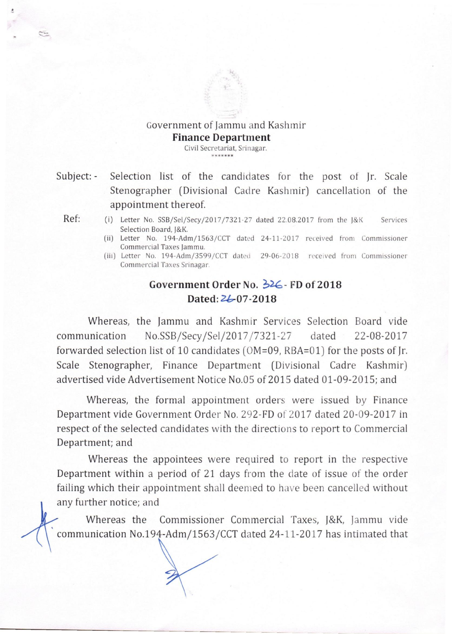## Government of Jammu and Kashmir **Finance Department**

Civil Secretariat, Srinagar. **\*\*\*\*\*\*\*** 

Subject: - Selection list of the candidates for the post of Jr. Scale Stenographer (Divisional Cadre Kashmir) cancellation of the appointment thereof.

- Ref: (i) Letter No. SSB/Sel/Secy/2017/7321-27 dated 22.08.2017 from the J&K Services Selection Board, J&K.
	- (ii) Letter No. 194-Adm/1563/CCT dated 24-11-2017 received from Commissioner Commercial Taxes Jammu.
	- (iii) Letter No. 194-Adm/3599/CCT dated 29-06-2018 received from Commissioner Commercial Taxes Srinagar.

## **Government Order No.**  $\frac{1}{2}$ **. <b>FD of 2018 Dated:** *2b-07 -2018*

Whereas, the Jammu and Kashmir Services Selection Board vide communication No.SSB/Secy /Sel/2017 /7321-27 dated 22-08-2017 forwarded selection list of 10 candidates (OM=09, RBA=OI) for the posts of Jr. Scale Stenographer, Finance Department (Divisional Cadre Kashmir) advertised vide Advertisement Notice No.05 of 2015 dated 01-09-2015; and

Whereas, the formal appointment orders were issued by Finance Department vide Government Order No. 292-FD of 2017 dated 20-09-2017 in respect of the selected candidates with the directions to report to Commercial Department; and

Whereas the appointees were required to report in the respective Department within a period of 21 days from the date of issue of the order failing which their appointment shall deemed to have been cancelled without any further notice; and

Whereas the Commissioner Commercial Taxes, *J&K,* Jammu vide communication No.194-Adm/1563/CCT dated 24-11-2017 has intimated that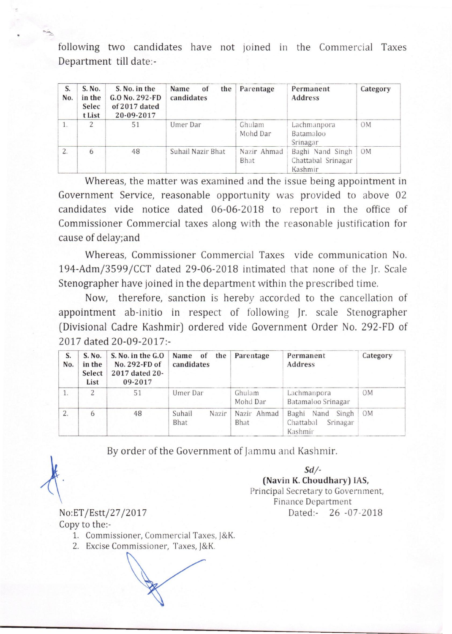following two candidates have not joined in the Commercial Taxes Department till date:-

| Department till date:- |                                     |                                                                  |                                 |                            |                                                   |                |  |  |  |
|------------------------|-------------------------------------|------------------------------------------------------------------|---------------------------------|----------------------------|---------------------------------------------------|----------------|--|--|--|
| S.<br>No.              | S. No.<br>in the<br>Selec<br>t List | S. No. in the<br>$G.0$ No. 292-FD<br>of 2017 dated<br>20-09-2017 | Name<br>of<br>the<br>candidates | Parentage                  | Permanent<br>Address                              | Category       |  |  |  |
| 1.                     | $\overline{\mathcal{L}}$            | 51                                                               | Umer Dar                        | Ghulam<br>Mohd Dar         | Lachmanpora<br>Batamaloo<br>Srinagar              | 0M             |  |  |  |
| $\overline{2}$ .       | 6                                   | 48                                                               | Suhail Nazir Bhat               | Nazir Ahmad<br><b>Bhat</b> | Baghi Nand Singh<br>Chattabal Srinagar<br>Kashmir | 0 <sub>M</sub> |  |  |  |

Whereas, the matter was examined and the issue being appointment in Government Service, reasonable opportunity was provided to above 02 candidates vide notice dated 06-06-2018 to report in the office of Commissioner Commercial taxes along with the reasonable justification for cause of delay;and

Whereas, Commissioner Commercial Taxes vide communication No. *194-Admj3599 JCCT* dated 29-06-2018 intimated that none of the Jr. Scale Stenographer have joined in the department within the prescribed time.

Now, therefore, sanction is hereby accorded to the cancellation of appointment ab-initio in respect of following Jr. scale Stenographer (Divisional Cadre Kashmir) ordered vide Government Order No. 292-FD of 2017 dated 20-09-2017:-

| S.<br>No. | S. No.<br>in the<br>Select<br>List | S. No. in the G.O.<br>No. 292-FD of<br>2017 dated 20-<br>09-2017 | Name of<br>the<br>candidates | Parentage           | Permanent<br>Address                                 | Category       |
|-----------|------------------------------------|------------------------------------------------------------------|------------------------------|---------------------|------------------------------------------------------|----------------|
|           | 2                                  | 51                                                               | Umer Dar                     | Ghulam<br>Mohd Dar  | Lachmanpora<br>Batamaloo Srinagar                    | 0 <sub>M</sub> |
| 2.        | 6                                  | 48                                                               | Suhail<br>Nazir<br>Bhat      | Nazir Ahmad<br>Bhat | Baghi Nand Singh<br>Chattabal<br>Srinagar<br>Kashmir | OM             |

By order of the Government of Jammu and Kashmir.

*Sd/-*  (Navin K. Choudhary) lAS, Principal Secretary to Government, Finance Department Dated:- 26 -07-2018

No:ET /Estt/27 /2017 Copy to the:-

- 1. Commissioner, Commercial Taxes, J&K.
- 2. Excise Commissioner, Taxes, J&K.